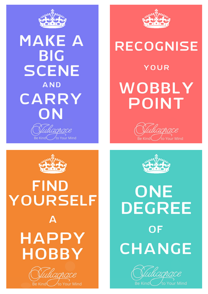

### **MAKE A BIG SCENE AND** CARRY ON adrace



## **RECOGNISE**

**YOUR** WOBBLY **POINT** 





to Your Mind

# **FIND** YOURSELF A **HAPPY HOBBY**